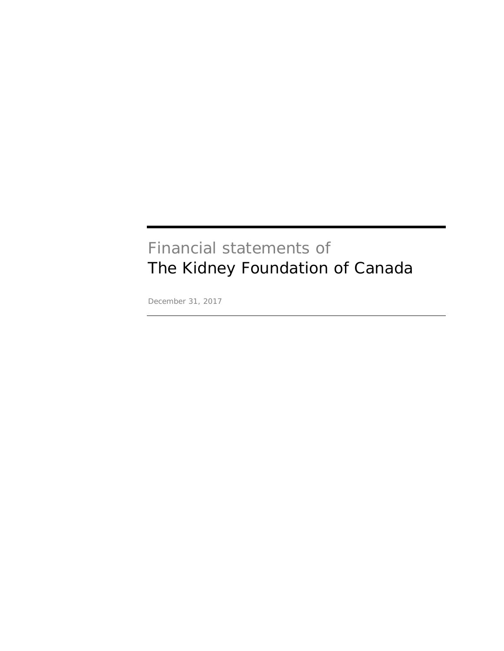# Financial statements of The Kidney Foundation of Canada

December 31, 2017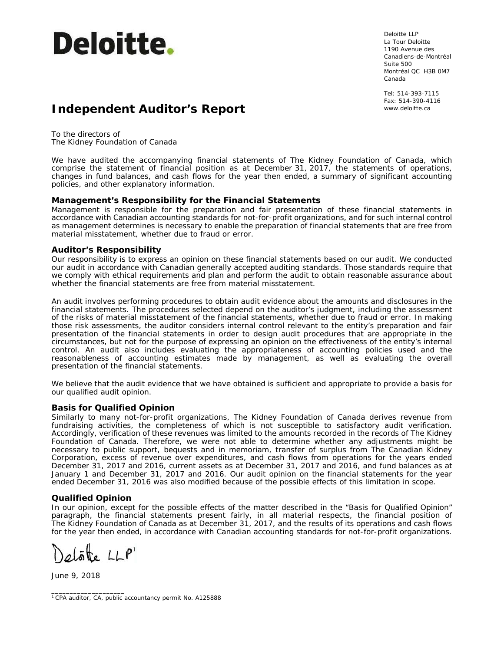

Deloitte LLP La Tour Deloitte 1190 Avenue des Canadiens-de-Montréal Suite 500 Montréal QC H3B 0M7 Canada

Tel: 514-393-7115 Fax: 514-390-4116

# **Independent Auditor's Report Independent Auditor's Report**

To the directors of The Kidney Foundation of Canada

We have audited the accompanying financial statements of The Kidney Foundation of Canada, which comprise the statement of financial position as at December 31, 2017, the statements of operations, changes in fund balances, and cash flows for the year then ended, a summary of significant accounting policies, and other explanatory information.

#### **Management's Responsibility for the Financial Statements**

Management is responsible for the preparation and fair presentation of these financial statements in accordance with Canadian accounting standards for not-for-profit organizations, and for such internal control as management determines is necessary to enable the preparation of financial statements that are free from material misstatement, whether due to fraud or error.

#### **Auditor's Responsibility**

Our responsibility is to express an opinion on these financial statements based on our audit. We conducted our audit in accordance with Canadian generally accepted auditing standards. Those standards require that we comply with ethical requirements and plan and perform the audit to obtain reasonable assurance about whether the financial statements are free from material misstatement.

An audit involves performing procedures to obtain audit evidence about the amounts and disclosures in the financial statements. The procedures selected depend on the auditor's judgment, including the assessment of the risks of material misstatement of the financial statements, whether due to fraud or error. In making those risk assessments, the auditor considers internal control relevant to the entity's preparation and fair presentation of the financial statements in order to design audit procedures that are appropriate in the circumstances, but not for the purpose of expressing an opinion on the effectiveness of the entity's internal control. An audit also includes evaluating the appropriateness of accounting policies used and the reasonableness of accounting estimates made by management, as well as evaluating the overall presentation of the financial statements.

We believe that the audit evidence that we have obtained is sufficient and appropriate to provide a basis for our qualified audit opinion.

#### **Basis for Qualified Opinion**

Similarly to many not-for-profit organizations, The Kidney Foundation of Canada derives revenue from fundraising activities, the completeness of which is not susceptible to satisfactory audit verification. Accordingly, verification of these revenues was limited to the amounts recorded in the records of The Kidney Foundation of Canada. Therefore, we were not able to determine whether any adjustments might be necessary to public support, bequests and in memoriam, transfer of surplus from The Canadian Kidney Corporation, excess of revenue over expenditures, and cash flows from operations for the years ended December 31, 2017 and 2016, current assets as at December 31, 2017 and 2016, and fund balances as at January 1 and December 31, 2017 and 2016. Our audit opinion on the financial statements for the year ended December 31, 2016 was also modified because of the possible effects of this limitation in scope.

#### **Qualified Opinion**

In our opinion, except for the possible effects of the matter described in the "Basis for Qualified Opinion" paragraph, the financial statements present fairly, in all material respects, the financial position of The Kidney Foundation of Canada as at December 31, 2017, and the results of its operations and cash flows for the year then ended, in accordance with Canadian accounting standards for not-for-profit organizations.

Delote LLP

 $\overline{\phantom{a}}$  , where  $\overline{\phantom{a}}$  , where  $\overline{\phantom{a}}$  , where  $\overline{\phantom{a}}$ 

June 9, 2018

<sup>1</sup> CPA auditor, CA, public accountancy permit No. A125888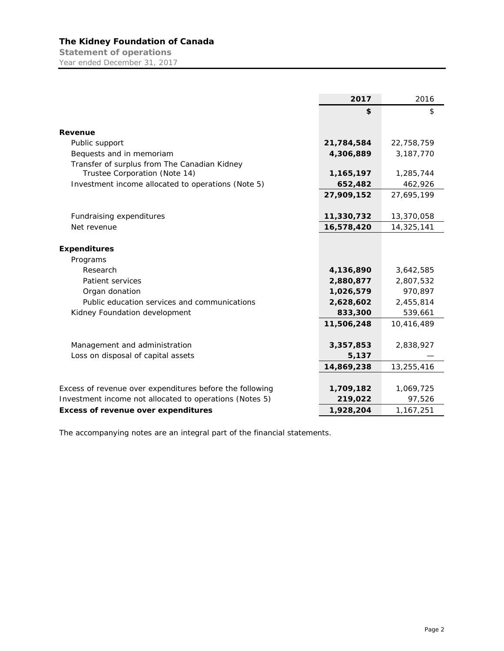**Statement of operations**  Year ended December 31, 2017

|                                                          | 2017       | 2016       |
|----------------------------------------------------------|------------|------------|
|                                                          | \$         | \$         |
|                                                          |            |            |
| Revenue                                                  |            |            |
| Public support                                           | 21,784,584 | 22,758,759 |
| Bequests and in memoriam                                 | 4,306,889  | 3,187,770  |
| Transfer of surplus from The Canadian Kidney             |            |            |
| Trustee Corporation (Note 14)                            | 1,165,197  | 1,285,744  |
| Investment income allocated to operations (Note 5)       | 652,482    | 462,926    |
|                                                          | 27,909,152 | 27,695,199 |
|                                                          |            |            |
| Fundraising expenditures                                 | 11,330,732 | 13,370,058 |
| Net revenue                                              | 16,578,420 | 14,325,141 |
|                                                          |            |            |
| <b>Expenditures</b>                                      |            |            |
| Programs                                                 |            |            |
| Research                                                 | 4,136,890  | 3,642,585  |
| Patient services                                         | 2,880,877  | 2,807,532  |
| Organ donation                                           | 1,026,579  | 970,897    |
| Public education services and communications             | 2,628,602  | 2,455,814  |
| Kidney Foundation development                            | 833,300    | 539,661    |
|                                                          | 11,506,248 | 10,416,489 |
|                                                          |            |            |
| Management and administration                            | 3,357,853  | 2,838,927  |
| Loss on disposal of capital assets                       | 5,137      |            |
|                                                          | 14,869,238 | 13,255,416 |
|                                                          |            |            |
| Excess of revenue over expenditures before the following | 1,709,182  | 1,069,725  |
| Investment income not allocated to operations (Notes 5)  | 219,022    | 97,526     |
| <b>Excess of revenue over expenditures</b>               | 1,928,204  | 1,167,251  |

The accompanying notes are an integral part of the financial statements.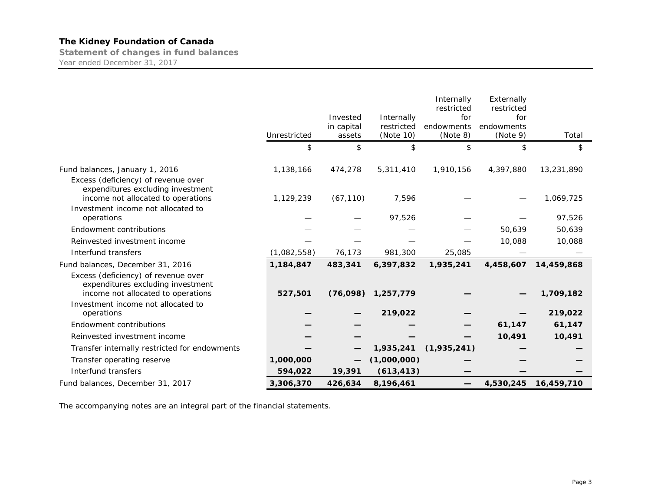**Statement of changes in fund balances**  Year ended December 31, 2017

|                                                                                                                | Unrestricted | Invested<br>in capital<br>assets | Internally<br>restricted<br>(Note 10) | Internally<br>restricted<br>for<br>endowments<br>(Note 8) | Externally<br>restricted<br>for<br>endowments<br>(Note 9) | Total      |
|----------------------------------------------------------------------------------------------------------------|--------------|----------------------------------|---------------------------------------|-----------------------------------------------------------|-----------------------------------------------------------|------------|
|                                                                                                                | \$           | \$                               | \$                                    | \$                                                        | \$                                                        | \$         |
|                                                                                                                |              |                                  |                                       |                                                           |                                                           |            |
| Fund balances, January 1, 2016                                                                                 | 1,138,166    | 474,278                          | 5,311,410                             | 1,910,156                                                 | 4,397,880                                                 | 13,231,890 |
| Excess (deficiency) of revenue over<br>expenditures excluding investment<br>income not allocated to operations | 1,129,239    | (67, 110)                        | 7,596                                 |                                                           |                                                           | 1,069,725  |
| Investment income not allocated to<br>operations                                                               |              |                                  | 97,526                                |                                                           |                                                           | 97,526     |
| Endowment contributions                                                                                        |              |                                  |                                       |                                                           | 50,639                                                    | 50,639     |
| Reinvested investment income                                                                                   |              |                                  |                                       |                                                           | 10,088                                                    | 10,088     |
| Interfund transfers                                                                                            | (1,082,558)  | 76,173                           | 981,300                               | 25,085                                                    |                                                           |            |
| Fund balances, December 31, 2016                                                                               | 1,184,847    | 483,341                          | 6,397,832                             | 1,935,241                                                 | 4,458,607                                                 | 14,459,868 |
| Excess (deficiency) of revenue over<br>expenditures excluding investment<br>income not allocated to operations | 527,501      | (76,098)                         | 1,257,779                             |                                                           |                                                           | 1,709,182  |
| Investment income not allocated to<br>operations                                                               |              |                                  | 219,022                               |                                                           |                                                           | 219,022    |
| Endowment contributions                                                                                        |              |                                  |                                       |                                                           | 61,147                                                    | 61,147     |
| Reinvested investment income                                                                                   |              |                                  |                                       |                                                           | 10,491                                                    | 10,491     |
| Transfer internally restricted for endowments                                                                  |              |                                  | 1,935,241                             | (1,935,241)                                               |                                                           |            |
| Transfer operating reserve                                                                                     | 1,000,000    |                                  | (1,000,000)                           |                                                           |                                                           |            |
| Interfund transfers                                                                                            | 594,022      | 19,391                           | (613, 413)                            |                                                           |                                                           |            |
| Fund balances, December 31, 2017                                                                               | 3,306,370    | 426,634                          | 8,196,461                             | —                                                         | 4,530,245                                                 | 16,459,710 |

The accompanying notes are an integral part of the financial statements.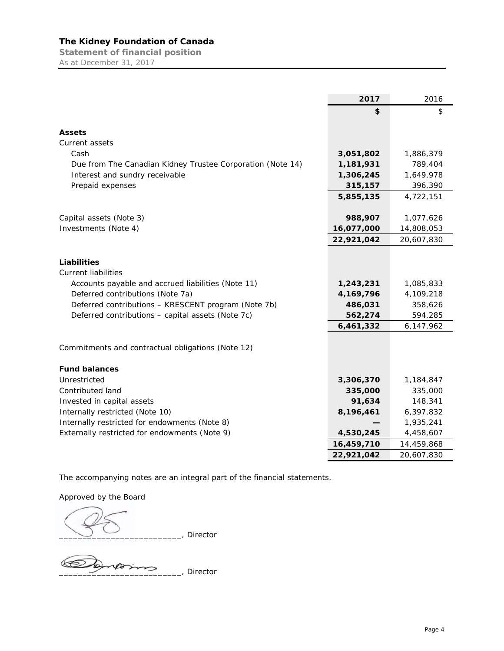**Statement of financial position**  As at December 31, 2017

|                                                            | 2017       | 2016       |
|------------------------------------------------------------|------------|------------|
|                                                            | \$         | \$         |
|                                                            |            |            |
| <b>Assets</b>                                              |            |            |
| Current assets                                             |            |            |
| Cash                                                       | 3,051,802  | 1,886,379  |
| Due from The Canadian Kidney Trustee Corporation (Note 14) | 1,181,931  | 789,404    |
| Interest and sundry receivable                             | 1,306,245  | 1,649,978  |
| Prepaid expenses                                           | 315,157    | 396,390    |
|                                                            | 5,855,135  | 4,722,151  |
|                                                            |            |            |
| Capital assets (Note 3)                                    | 988,907    | 1,077,626  |
| Investments (Note 4)                                       | 16,077,000 | 14,808,053 |
|                                                            | 22,921,042 | 20,607,830 |
|                                                            |            |            |
| Liabilities                                                |            |            |
| <b>Current liabilities</b>                                 |            |            |
| Accounts payable and accrued liabilities (Note 11)         | 1,243,231  | 1,085,833  |
| Deferred contributions (Note 7a)                           | 4,169,796  | 4,109,218  |
| Deferred contributions - KRESCENT program (Note 7b)        | 486,031    | 358,626    |
| Deferred contributions - capital assets (Note 7c)          | 562,274    | 594,285    |
|                                                            | 6,461,332  | 6,147,962  |
|                                                            |            |            |
| Commitments and contractual obligations (Note 12)          |            |            |
|                                                            |            |            |
| <b>Fund balances</b>                                       |            |            |
| Unrestricted                                               | 3,306,370  | 1,184,847  |
| Contributed land                                           | 335,000    | 335,000    |
| Invested in capital assets                                 | 91,634     | 148,341    |
| Internally restricted (Note 10)                            | 8,196,461  | 6,397,832  |
| Internally restricted for endowments (Note 8)              |            | 1,935,241  |
| Externally restricted for endowments (Note 9)              | 4,530,245  | 4,458,607  |
|                                                            | 16,459,710 | 14,459,868 |
|                                                            | 22,921,042 | 20,607,830 |

The accompanying notes are an integral part of the financial statements.

Approved by the Board

\_\_\_\_\_\_\_\_\_\_\_\_\_\_\_\_\_\_\_\_\_\_\_\_\_\_, Director

\_\_\_\_\_\_\_\_\_\_\_\_\_\_\_\_\_\_\_\_\_\_\_\_\_\_, Director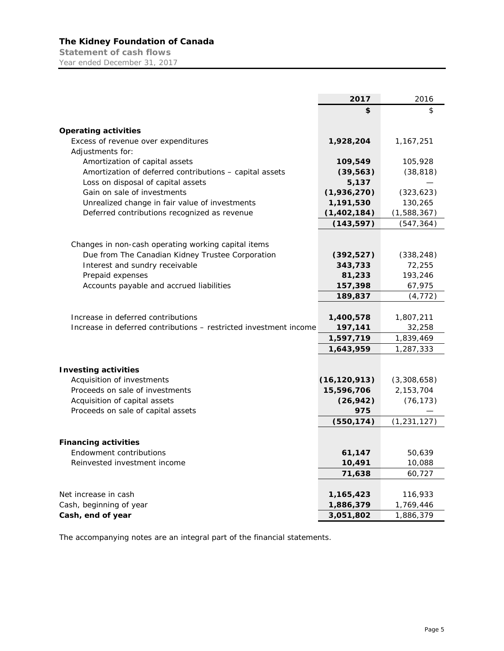**Statement of cash flows**  Year ended December 31, 2017

|                                                                                               | 2017               | 2016          |
|-----------------------------------------------------------------------------------------------|--------------------|---------------|
|                                                                                               | \$                 | \$            |
|                                                                                               |                    |               |
| <b>Operating activities</b>                                                                   |                    |               |
| Excess of revenue over expenditures                                                           | 1,928,204          | 1,167,251     |
| Adjustments for:                                                                              |                    |               |
| Amortization of capital assets                                                                | 109,549            | 105,928       |
| Amortization of deferred contributions - capital assets<br>Loss on disposal of capital assets | (39, 563)<br>5,137 | (38, 818)     |
| Gain on sale of investments                                                                   | (1,936,270)        | (323, 623)    |
| Unrealized change in fair value of investments                                                | 1,191,530          | 130,265       |
| Deferred contributions recognized as revenue                                                  | (1,402,184)        | (1,588,367)   |
|                                                                                               | (143, 597)         | (547, 364)    |
|                                                                                               |                    |               |
| Changes in non-cash operating working capital items                                           |                    |               |
| Due from The Canadian Kidney Trustee Corporation                                              | (392, 527)         | (338, 248)    |
| Interest and sundry receivable                                                                | 343,733            | 72,255        |
| Prepaid expenses                                                                              | 81,233             | 193,246       |
| Accounts payable and accrued liabilities                                                      | 157,398            | 67,975        |
|                                                                                               | 189,837            | (4, 772)      |
|                                                                                               |                    |               |
| Increase in deferred contributions                                                            | 1,400,578          | 1,807,211     |
| Increase in deferred contributions – restricted investment income                             | 197,141            | 32,258        |
|                                                                                               | 1,597,719          | 1,839,469     |
|                                                                                               | 1,643,959          | 1,287,333     |
|                                                                                               |                    |               |
| <b>Investing activities</b>                                                                   |                    |               |
| Acquisition of investments                                                                    | (16, 120, 913)     | (3,308,658)   |
| Proceeds on sale of investments                                                               | 15,596,706         | 2,153,704     |
| Acquisition of capital assets                                                                 | (26, 942)          | (76, 173)     |
| Proceeds on sale of capital assets                                                            | 975                |               |
|                                                                                               | (550, 174)         | (1, 231, 127) |
| <b>Financing activities</b>                                                                   |                    |               |
| Endowment contributions                                                                       | 61,147             | 50,639        |
| Reinvested investment income                                                                  | 10,491             | 10,088        |
|                                                                                               | 71,638             | 60,727        |
|                                                                                               |                    |               |
| Net increase in cash                                                                          | 1,165,423          | 116,933       |
| Cash, beginning of year                                                                       | 1,886,379          | 1,769,446     |
| Cash, end of year                                                                             | 3,051,802          | 1,886,379     |

The accompanying notes are an integral part of the financial statements.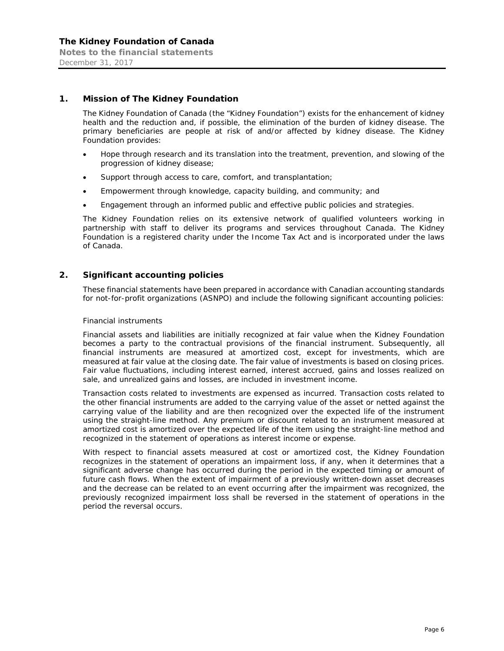#### **1. Mission of The Kidney Foundation**

The Kidney Foundation of Canada (the "Kidney Foundation") exists for the enhancement of kidney health and the reduction and, if possible, the elimination of the burden of kidney disease. The primary beneficiaries are people at risk of and/or affected by kidney disease. The Kidney Foundation provides:

- Hope through research and its translation into the treatment, prevention, and slowing of the progression of kidney disease;
- Support through access to care, comfort, and transplantation;
- Empowerment through knowledge, capacity building, and community; and
- Engagement through an informed public and effective public policies and strategies.

The Kidney Foundation relies on its extensive network of qualified volunteers working in partnership with staff to deliver its programs and services throughout Canada. The Kidney Foundation is a registered charity under the *Income Tax Act* and is incorporated under the laws of Canada.

#### **2. Significant accounting policies**

These financial statements have been prepared in accordance with Canadian accounting standards for not-for-profit organizations (ASNPO) and include the following significant accounting policies:

#### *Financial instruments*

Financial assets and liabilities are initially recognized at fair value when the Kidney Foundation becomes a party to the contractual provisions of the financial instrument. Subsequently, all financial instruments are measured at amortized cost, except for investments, which are measured at fair value at the closing date. The fair value of investments is based on closing prices. Fair value fluctuations, including interest earned, interest accrued, gains and losses realized on sale, and unrealized gains and losses, are included in investment income.

Transaction costs related to investments are expensed as incurred. Transaction costs related to the other financial instruments are added to the carrying value of the asset or netted against the carrying value of the liability and are then recognized over the expected life of the instrument using the straight-line method. Any premium or discount related to an instrument measured at amortized cost is amortized over the expected life of the item using the straight-line method and recognized in the statement of operations as interest income or expense.

With respect to financial assets measured at cost or amortized cost, the Kidney Foundation recognizes in the statement of operations an impairment loss, if any, when it determines that a significant adverse change has occurred during the period in the expected timing or amount of future cash flows. When the extent of impairment of a previously written-down asset decreases and the decrease can be related to an event occurring after the impairment was recognized, the previously recognized impairment loss shall be reversed in the statement of operations in the period the reversal occurs.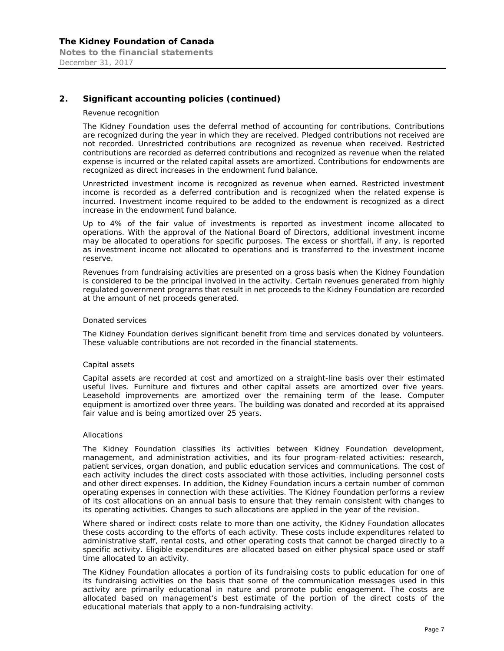# **2. Significant accounting policies (continued)**

#### *Revenue recognition*

The Kidney Foundation uses the deferral method of accounting for contributions. Contributions are recognized during the year in which they are received. Pledged contributions not received are not recorded. Unrestricted contributions are recognized as revenue when received. Restricted contributions are recorded as deferred contributions and recognized as revenue when the related expense is incurred or the related capital assets are amortized. Contributions for endowments are recognized as direct increases in the endowment fund balance.

Unrestricted investment income is recognized as revenue when earned. Restricted investment income is recorded as a deferred contribution and is recognized when the related expense is incurred. Investment income required to be added to the endowment is recognized as a direct increase in the endowment fund balance.

Up to 4% of the fair value of investments is reported as investment income allocated to operations. With the approval of the National Board of Directors, additional investment income may be allocated to operations for specific purposes. The excess or shortfall, if any, is reported as investment income not allocated to operations and is transferred to the investment income reserve.

Revenues from fundraising activities are presented on a gross basis when the Kidney Foundation is considered to be the principal involved in the activity. Certain revenues generated from highly regulated government programs that result in net proceeds to the Kidney Foundation are recorded at the amount of net proceeds generated.

#### *Donated services*

The Kidney Foundation derives significant benefit from time and services donated by volunteers. These valuable contributions are not recorded in the financial statements.

#### *Capital assets*

Capital assets are recorded at cost and amortized on a straight-line basis over their estimated useful lives. Furniture and fixtures and other capital assets are amortized over five years. Leasehold improvements are amortized over the remaining term of the lease. Computer equipment is amortized over three years. The building was donated and recorded at its appraised fair value and is being amortized over 25 years.

#### *Allocations*

The Kidney Foundation classifies its activities between Kidney Foundation development, management, and administration activities, and its four program-related activities: research, patient services, organ donation, and public education services and communications. The cost of each activity includes the direct costs associated with those activities, including personnel costs and other direct expenses. In addition, the Kidney Foundation incurs a certain number of common operating expenses in connection with these activities. The Kidney Foundation performs a review of its cost allocations on an annual basis to ensure that they remain consistent with changes to its operating activities. Changes to such allocations are applied in the year of the revision.

Where shared or indirect costs relate to more than one activity, the Kidney Foundation allocates these costs according to the efforts of each activity. These costs include expenditures related to administrative staff, rental costs, and other operating costs that cannot be charged directly to a specific activity. Eligible expenditures are allocated based on either physical space used or staff time allocated to an activity.

The Kidney Foundation allocates a portion of its fundraising costs to public education for one of its fundraising activities on the basis that some of the communication messages used in this activity are primarily educational in nature and promote public engagement. The costs are allocated based on management's best estimate of the portion of the direct costs of the educational materials that apply to a non-fundraising activity.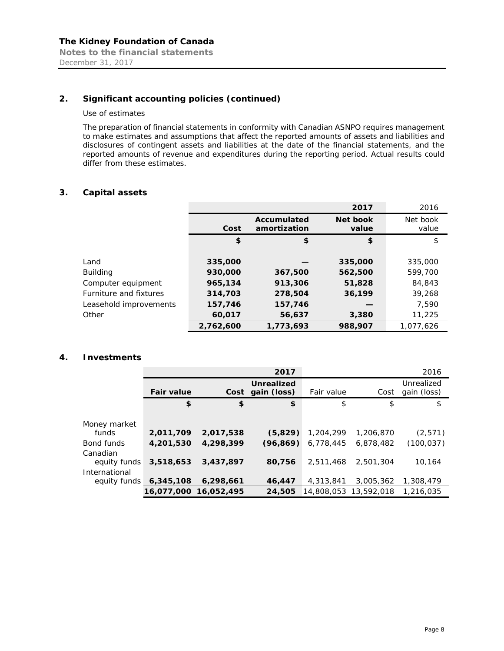# **2. Significant accounting policies (continued)**

#### *Use of estimates*

December 31, 2017

The preparation of financial statements in conformity with Canadian ASNPO requires management to make estimates and assumptions that affect the reported amounts of assets and liabilities and disclosures of contingent assets and liabilities at the date of the financial statements, and the reported amounts of revenue and expenditures during the reporting period. Actual results could differ from these estimates.

#### **3. Capital assets**

|                        |           |                                    | 2017              | 2016              |
|------------------------|-----------|------------------------------------|-------------------|-------------------|
|                        | Cost      | <b>Accumulated</b><br>amortization | Net book<br>value | Net book<br>value |
|                        | \$        | \$                                 | \$                | \$                |
|                        |           |                                    |                   |                   |
| Land                   | 335,000   |                                    | 335,000           | 335,000           |
| <b>Building</b>        | 930,000   | 367,500                            | 562,500           | 599,700           |
| Computer equipment     | 965,134   | 913,306                            | 51,828            | 84,843            |
| Furniture and fixtures | 314,703   | 278,504                            | 36,199            | 39,268            |
| Leasehold improvements | 157,746   | 157,746                            |                   | 7.590             |
| Other                  | 60,017    | 56,637                             | 3,380             | 11,225            |
|                        | 2,762,600 | 1,773,693                          | 988,907           | 1.077.626         |

#### **4. Investments**

|                               |                       |           | 2017                                  |            |                       | 2016                      |
|-------------------------------|-----------------------|-----------|---------------------------------------|------------|-----------------------|---------------------------|
|                               | <b>Fair value</b>     |           | <b>Unrealized</b><br>Cost gain (loss) | Fair value | Cost                  | Unrealized<br>gain (loss) |
|                               | \$                    | \$        | \$                                    | \$         | \$                    | \$                        |
| Money market                  |                       |           |                                       |            |                       |                           |
| funds                         | 2,011,709             | 2,017,538 | (5,829)                               | 1,204,299  | 1,206,870             | (2,571)                   |
| Bond funds                    | 4,201,530             | 4,298,399 | (96.869)                              | 6,778,445  | 6,878,482             | (100, 037)                |
| Canadian<br>equity funds      | 3,518,653             | 3,437,897 | 80,756                                | 2.511.468  | 2,501,304             | 10.164                    |
| International<br>equity funds | 6,345,108             | 6,298,661 | 46,447                                | 4,313,841  | 3,005,362             | 1,308,479                 |
|                               | 16,077,000 16,052,495 |           | 24,505                                |            | 14.808.053 13.592.018 | 1,216,035                 |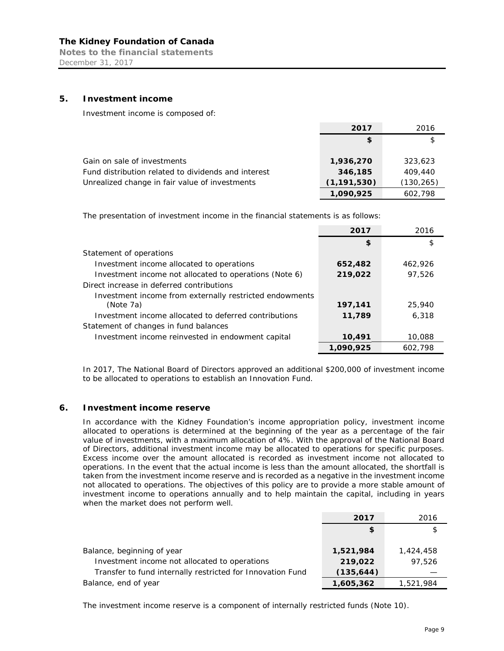**Notes to the financial statements**  December 31, 2017

#### **5. Investment income**

Investment income is composed of:

|                                                     | 2017          | 2016       |
|-----------------------------------------------------|---------------|------------|
|                                                     | \$            | \$         |
|                                                     |               |            |
| Gain on sale of investments                         | 1,936,270     | 323,623    |
| Fund distribution related to dividends and interest | 346,185       | 409,440    |
| Unrealized change in fair value of investments      | (1, 191, 530) | (130, 265) |
|                                                     | 1,090,925     | 602,798    |

The presentation of investment income in the financial statements is as follows:

|                                                         | 2017      | 2016    |
|---------------------------------------------------------|-----------|---------|
|                                                         | \$        | \$      |
| Statement of operations                                 |           |         |
| Investment income allocated to operations               | 652,482   | 462.926 |
| Investment income not allocated to operations (Note 6)  | 219,022   | 97,526  |
| Direct increase in deferred contributions               |           |         |
| Investment income from externally restricted endowments |           |         |
| (Note 7a)                                               | 197,141   | 25,940  |
| Investment income allocated to deferred contributions   | 11,789    | 6,318   |
| Statement of changes in fund balances                   |           |         |
| Investment income reinvested in endowment capital       | 10,491    | 10,088  |
|                                                         | 1.090.925 | 602.798 |

In 2017, The National Board of Directors approved an additional \$200,000 of investment income to be allocated to operations to establish an Innovation Fund.

#### **6. Investment income reserve**

In accordance with the Kidney Foundation's income appropriation policy, investment income allocated to operations is determined at the beginning of the year as a percentage of the fair value of investments, with a maximum allocation of 4%. With the approval of the National Board of Directors, additional investment income may be allocated to operations for specific purposes. Excess income over the amount allocated is recorded as investment income not allocated to operations. In the event that the actual income is less than the amount allocated, the shortfall is taken from the investment income reserve and is recorded as a negative in the investment income not allocated to operations. The objectives of this policy are to provide a more stable amount of investment income to operations annually and to help maintain the capital, including in years when the market does not perform well.

|                                                            | 2017       | 2016      |
|------------------------------------------------------------|------------|-----------|
|                                                            | \$         |           |
|                                                            |            |           |
| Balance, beginning of year                                 | 1,521,984  | 1,424,458 |
| Investment income not allocated to operations              | 219,022    | 97.526    |
| Transfer to fund internally restricted for Innovation Fund | (135, 644) |           |
| Balance, end of year                                       | 1,605,362  | 1,521,984 |

The investment income reserve is a component of internally restricted funds (Note 10).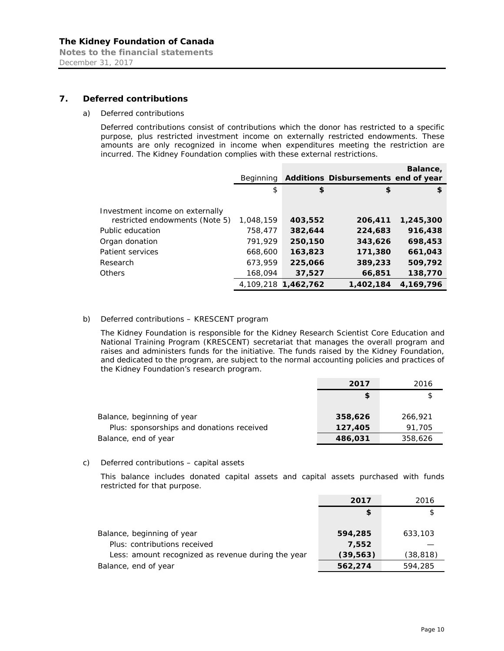**Notes to the financial statements**  December 31, 2017

#### **7. Deferred contributions**

#### *a) Deferred contributions*

Deferred contributions consist of contributions which the donor has restricted to a specific purpose, plus restricted investment income on externally restricted endowments. These amounts are only recognized in income when expenditures meeting the restriction are incurred. The Kidney Foundation complies with these external restrictions.

|                                 | <b>Beginning</b> |                     | Additions Disbursements end of year | Balance,  |
|---------------------------------|------------------|---------------------|-------------------------------------|-----------|
|                                 | \$               | \$                  | \$                                  | \$        |
| Investment income on externally |                  |                     |                                     |           |
| restricted endowments (Note 5)  | 1,048,159        | 403,552             | 206,411                             | 1,245,300 |
| Public education                | 758,477          | 382,644             | 224,683                             | 916,438   |
| Organ donation                  | 791,929          | 250,150             | 343,626                             | 698,453   |
| Patient services                | 668,600          | 163,823             | 171,380                             | 661,043   |
| Research                        | 673,959          | 225,066             | 389,233                             | 509,792   |
| Others                          | 168,094          | 37,527              | 66,851                              | 138,770   |
|                                 |                  | 4,109,218 1,462,762 | 1,402,184                           | 4,169,796 |

#### *b) Deferred contributions – KRESCENT program*

The Kidney Foundation is responsible for the Kidney Research Scientist Core Education and National Training Program (KRESCENT) secretariat that manages the overall program and raises and administers funds for the initiative. The funds raised by the Kidney Foundation, and dedicated to the program, are subject to the normal accounting policies and practices of the Kidney Foundation's research program.

|                                           | 2017    | 2016    |
|-------------------------------------------|---------|---------|
|                                           | \$      |         |
|                                           |         |         |
| Balance, beginning of year                | 358,626 | 266,921 |
| Plus: sponsorships and donations received | 127,405 | 91,705  |
| Balance, end of year                      | 486,031 | 358,626 |

#### *c) Deferred contributions – capital assets*

This balance includes donated capital assets and capital assets purchased with funds restricted for that purpose.

|                                                            | 2017             | 2016      |
|------------------------------------------------------------|------------------|-----------|
|                                                            | \$               |           |
| Balance, beginning of year<br>Plus: contributions received | 594,285<br>7,552 | 633,103   |
| Less: amount recognized as revenue during the year         | (39, 563)        | (38, 818) |
| Balance, end of year                                       | 562,274          | 594,285   |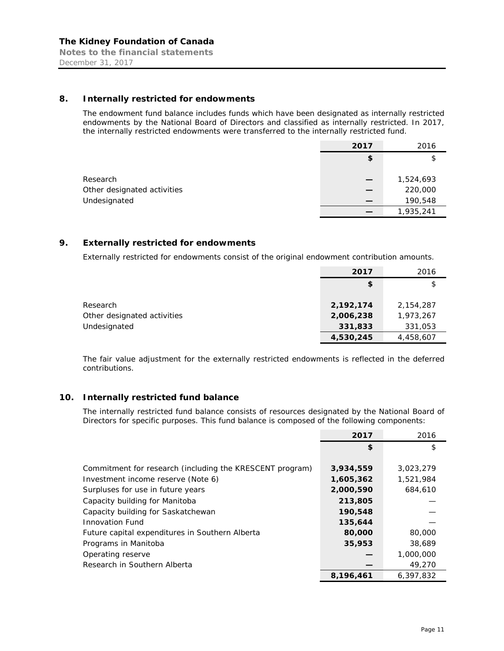#### **8. Internally restricted for endowments**

The endowment fund balance includes funds which have been designated as internally restricted endowments by the National Board of Directors and classified as internally restricted. In 2017, the internally restricted endowments were transferred to the internally restricted fund.

|                             | 2017 | 2016      |
|-----------------------------|------|-----------|
|                             | \$   | \$        |
|                             |      |           |
| Research                    |      | 1,524,693 |
| Other designated activities |      | 220,000   |
| Undesignated                |      | 190,548   |
|                             |      | 1,935,241 |

#### **9. Externally restricted for endowments**

Externally restricted for endowments consist of the original endowment contribution amounts.

|                             | 2017      | 2016      |
|-----------------------------|-----------|-----------|
|                             | \$        | \$        |
|                             |           |           |
| Research                    | 2,192,174 | 2,154,287 |
| Other designated activities | 2,006,238 | 1,973,267 |
| Undesignated                | 331,833   | 331,053   |
|                             | 4,530,245 | 4,458,607 |

The fair value adjustment for the externally restricted endowments is reflected in the deferred contributions.

# **10. Internally restricted fund balance**

The internally restricted fund balance consists of resources designated by the National Board of Directors for specific purposes. This fund balance is composed of the following components:

|                                                          | 2017      | 2016      |
|----------------------------------------------------------|-----------|-----------|
|                                                          | \$        | \$        |
|                                                          |           |           |
| Commitment for research (including the KRESCENT program) | 3,934,559 | 3,023,279 |
| Investment income reserve (Note 6)                       | 1,605,362 | 1,521,984 |
| Surpluses for use in future years                        | 2,000,590 | 684,610   |
| Capacity building for Manitoba                           | 213,805   |           |
| Capacity building for Saskatchewan                       | 190,548   |           |
| <b>Innovation Fund</b>                                   | 135,644   |           |
| Future capital expenditures in Southern Alberta          | 80,000    | 80,000    |
| Programs in Manitoba                                     | 35,953    | 38,689    |
| Operating reserve                                        |           | 1,000,000 |
| Research in Southern Alberta                             |           | 49,270    |
|                                                          | 8,196,461 | 6,397,832 |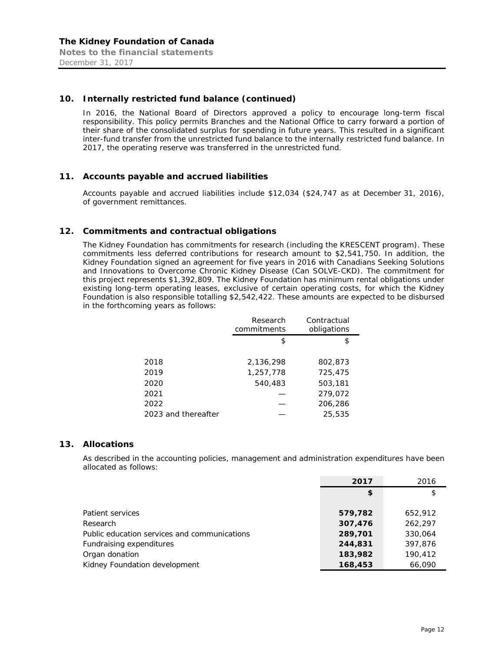#### **10. Internally restricted fund balance (continued)**

In 2016, the National Board of Directors approved a policy to encourage long-term fiscal responsibility. This policy permits Branches and the National Office to carry forward a portion of their share of the consolidated surplus for spending in future years. This resulted in a significant inter-fund transfer from the unrestricted fund balance to the internally restricted fund balance. In 2017, the operating reserve was transferred in the unrestricted fund.

#### **11. Accounts payable and accrued liabilities**

Accounts payable and accrued liabilities include \$12,034 (\$24,747 as at December 31, 2016), of government remittances.

#### **12. Commitments and contractual obligations**

The Kidney Foundation has commitments for research (including the KRESCENT program). These commitments less deferred contributions for research amount to \$2,541,750. In addition, the Kidney Foundation signed an agreement for five years in 2016 with Canadians Seeking Solutions and Innovations to Overcome Chronic Kidney Disease (Can SOLVE-CKD). The commitment for this project represents \$1,392,809. The Kidney Foundation has minimum rental obligations under existing long-term operating leases, exclusive of certain operating costs, for which the Kidney Foundation is also responsible totalling \$2,542,422. These amounts are expected to be disbursed in the forthcoming years as follows:

|                     | Research<br>commitments | Contractual<br>obligations |
|---------------------|-------------------------|----------------------------|
|                     | \$                      | \$                         |
|                     |                         |                            |
| 2018                | 2,136,298               | 802,873                    |
| 2019                | 1,257,778               | 725,475                    |
| 2020                | 540,483                 | 503,181                    |
| 2021                |                         | 279,072                    |
| 2022                |                         | 206,286                    |
| 2023 and thereafter |                         | 25,535                     |

#### **13. Allocations**

As described in the accounting policies, management and administration expenditures have been allocated as follows:

|                                              | 2017    | 2016    |
|----------------------------------------------|---------|---------|
|                                              | \$      | \$      |
|                                              |         |         |
| Patient services                             | 579,782 | 652,912 |
| Research                                     | 307,476 | 262.297 |
| Public education services and communications | 289,701 | 330,064 |
| Fundraising expenditures                     | 244,831 | 397.876 |
| Organ donation                               | 183,982 | 190,412 |
| Kidney Foundation development                | 168,453 | 66,090  |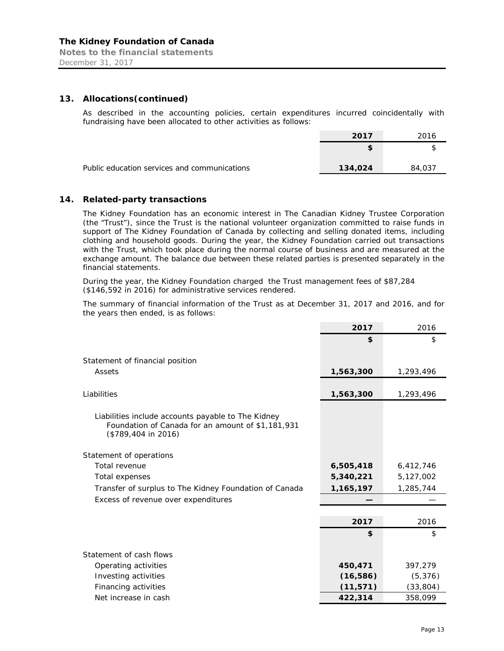**Notes to the financial statements**  December 31, 2017

#### **13. Allocations(continued)**

As described in the accounting policies, certain expenditures incurred coincidentally with fundraising have been allocated to other activities as follows:

|                                              | 2017    | 2016   |
|----------------------------------------------|---------|--------|
|                                              |         |        |
| Public education services and communications | 134,024 | 84,037 |

# **14. Related-party transactions**

The Kidney Foundation has an economic interest in The Canadian Kidney Trustee Corporation (the "Trust"), since the Trust is the national volunteer organization committed to raise funds in support of The Kidney Foundation of Canada by collecting and selling donated items, including clothing and household goods. During the year, the Kidney Foundation carried out transactions with the Trust, which took place during the normal course of business and are measured at the exchange amount. The balance due between these related parties is presented separately in the financial statements.

During the year, the Kidney Foundation charged the Trust management fees of \$87,284 (\$146,592 in 2016) for administrative services rendered.

The summary of financial information of the Trust as at December 31, 2017 and 2016, and for the years then ended, is as follows:

|                                                                                                         | 2017      | 2016      |
|---------------------------------------------------------------------------------------------------------|-----------|-----------|
|                                                                                                         | \$        | \$        |
|                                                                                                         |           |           |
| Statement of financial position                                                                         |           |           |
| Assets                                                                                                  | 1,563,300 | 1,293,496 |
|                                                                                                         |           |           |
| Liabilities                                                                                             | 1,563,300 | 1,293,496 |
|                                                                                                         |           |           |
| Liabilities include accounts payable to The Kidney<br>Foundation of Canada for an amount of \$1,181,931 |           |           |
| $($789,404$ in 2016)                                                                                    |           |           |
|                                                                                                         |           |           |
| Statement of operations                                                                                 |           |           |
| Total revenue                                                                                           | 6,505,418 | 6,412,746 |
| Total expenses                                                                                          | 5,340,221 | 5,127,002 |
| Transfer of surplus to The Kidney Foundation of Canada                                                  | 1,165,197 | 1,285,744 |
| Excess of revenue over expenditures                                                                     |           |           |
|                                                                                                         |           |           |
|                                                                                                         | 2017      | 2016      |
|                                                                                                         | \$        | \$        |
|                                                                                                         |           |           |
| Statement of cash flows                                                                                 |           |           |
| Operating activities                                                                                    | 450,471   | 397,279   |
| Investing activities                                                                                    | (16, 586) | (5, 376)  |
| Financing activities                                                                                    | (11, 571) | (33, 804) |
| Net increase in cash                                                                                    | 422,314   | 358,099   |